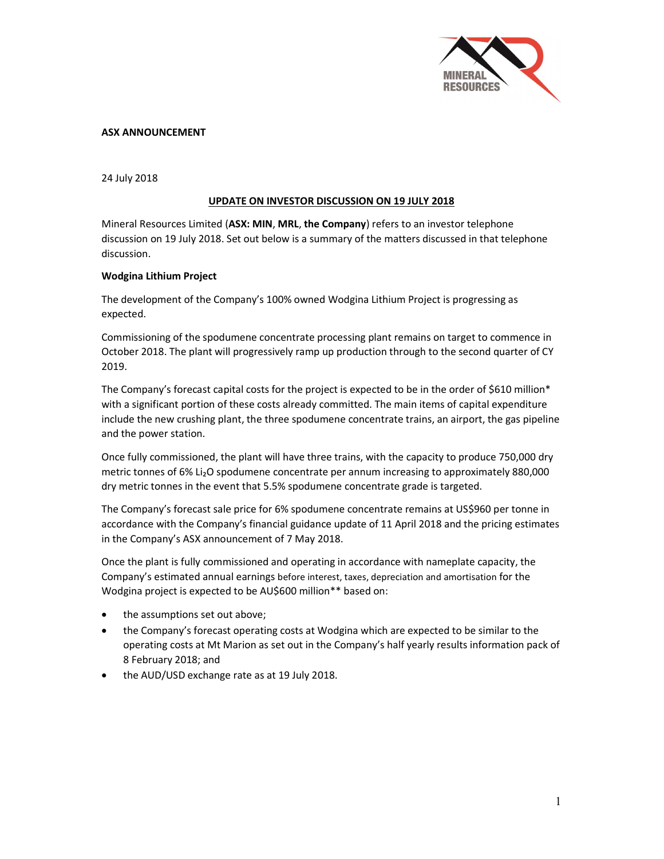

# ASX ANNOUNCEMENT

24 July 2018

# UPDATE ON INVESTOR DISCUSSION ON 19 JULY 2018

Mineral Resources Limited (ASX: MIN, MRL, the Company) refers to an investor telephone discussion on 19 July 2018. Set out below is a summary of the matters discussed in that telephone discussion.

## Wodgina Lithium Project

The development of the Company's 100% owned Wodgina Lithium Project is progressing as expected.

Commissioning of the spodumene concentrate processing plant remains on target to commence in October 2018. The plant will progressively ramp up production through to the second quarter of CY 2019.

The Company's forecast capital costs for the project is expected to be in the order of \$610 million\* with a significant portion of these costs already committed. The main items of capital expenditure include the new crushing plant, the three spodumene concentrate trains, an airport, the gas pipeline and the power station.

Once fully commissioned, the plant will have three trains, with the capacity to produce 750,000 dry metric tonnes of 6% Li<sub>2</sub>O spodumene concentrate per annum increasing to approximately 880,000 dry metric tonnes in the event that 5.5% spodumene concentrate grade is targeted.

The Company's forecast sale price for 6% spodumene concentrate remains at US\$960 per tonne in accordance with the Company's financial guidance update of 11 April 2018 and the pricing estimates in the Company's ASX announcement of 7 May 2018.

Once the plant is fully commissioned and operating in accordance with nameplate capacity, the Company's estimated annual earnings before interest, taxes, depreciation and amortisation for the Wodgina project is expected to be AU\$600 million\*\* based on:

- the assumptions set out above;
- the Company's forecast operating costs at Wodgina which are expected to be similar to the operating costs at Mt Marion as set out in the Company's half yearly results information pack of 8 February 2018; and
- the AUD/USD exchange rate as at 19 July 2018.